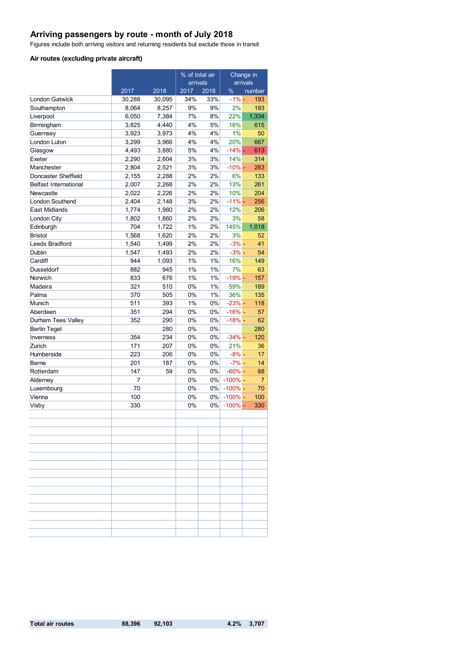## **Arriving passengers by route - month of July 2018**

Figures include both arriving visitors and returning residents but exclude those in transit

#### **Air routes (excluding private aircraft)**

|                              |                |        | % of total air<br>arrivals |       | Change in<br>arrivals |                |
|------------------------------|----------------|--------|----------------------------|-------|-----------------------|----------------|
|                              | 2017           | 2018   | 2017                       | 2018  | $\%$                  | number         |
| <b>London Gatwick</b>        | 30,288         | 30,095 | 34%                        | 33%   | $-1\% -$              | 193            |
| Southampton                  | 8,064          | 8,257  | 9%                         | 9%    | 2%                    | 193            |
| Liverpool                    | 6,050          | 7,384  | 7%                         | 8%    | 22%                   | 1,334          |
| Birmingham                   | 3,825          | 4,440  | 4%                         | 5%    | 16%                   | 615            |
| Guernsey                     | 3,923          | 3,973  | 4%                         | 4%    | 1%                    | 50             |
| London Luton                 | 3,299          | 3,966  | 4%                         | 4%    | 20%                   | 667            |
| Glasgow                      | 4,493          | 3,880  | 5%                         | 4%    | $-14% -$              | 613            |
| Exeter                       | 2,290          | 2.604  | 3%                         | 3%    | 14%                   | 314            |
| Manchester                   | 2,804          | 2,521  | 3%                         | 3%    | $-10% -$              | 283            |
| Doncaster Sheffield          | 2,155          | 2,288  | 2%                         | 2%    | 6%                    | 133            |
| <b>Belfast International</b> | 2,007          | 2,268  | 2%                         | 2%    | 13%                   | 261            |
| Newcastle                    | 2,022          | 2,226  | 2%                         | 2%    | 10%                   | 204            |
| <b>London Southend</b>       | 2,404          | 2,148  | 3%                         | 2%    | $-11\%$ -             | 256            |
| East Midlands                | 1,774          | 1,980  | 2%                         | 2%    | 12%                   | 206            |
| London City                  | 1,802          | 1,860  | 2%                         | 2%    | 3%                    | 58             |
| Edinburgh                    | 704            | 1,722  | 1%                         | 2%    | 145%                  | 1,018          |
| <b>Bristol</b>               | 1,568          | 1,620  | 2%                         | 2%    | 3%                    | 52             |
| Leeds Bradford               | 1,540          | 1,499  | 2%                         | 2%    | $-3% -$               | 41             |
| Dublin                       | 1,547          | 1,493  | 2%                         | 2%    | $-3% -$               | 54             |
| Cardiff                      | 944            | 1,093  | 1%                         | 1%    | 16%                   | 149            |
| Dusseldorf                   | 882            | 945    | 1%                         | 1%    | 7%                    | 63             |
| Norwich                      | 833            | 676    | 1%                         | 1%    | $-19% -$              | 157            |
| Madeira                      | 321            | 510    | 0%                         | 1%    | 59%                   | 189            |
| Palma                        | 370            | 505    | 0%                         | 1%    | 36%                   | 135            |
| Munich                       | 511            | 393    | 1%                         | 0%    | $-23%$ -              | 118            |
| Aberdeen                     | 351            | 294    | 0%                         | 0%    | $-16% -$              | 57             |
| Durham Tees Valley           | 352            | 290    | 0%                         | 0%    | $-18% -$              | 62             |
| <b>Berlin Tegel</b>          |                | 280    | 0%                         | 0%    |                       | 280            |
| Inverness                    | 354            | 234    | 0%                         | 0%    | $-34%$ -              | 120            |
| Zurich                       | 171            | 207    | 0%                         | 0%    | 21%                   | 36             |
| Humberside                   | 223            | 206    | 0%                         | 0%    | $-8% -$               | 17             |
| Berne                        | 201            | 187    | 0%                         | 0%    | $-7% -$               | 14             |
| Rotterdam                    | 147            | 59     | 0%                         | $0\%$ | $-60% -$              | 88             |
| Alderney                     | $\overline{7}$ |        | 0%                         | 0%    | $-100\%$ -            | $\overline{7}$ |
| Luxembourg                   | 70             |        | 0%                         | $0\%$ | $-100\%$ -            | 70             |
| Vienna                       | 100            |        | 0%                         | 0%    | $-100\%$ -            | 100            |
| Visby                        | 330            |        | 0%                         | 0%    | $-100\%$ -            | 330            |
|                              |                |        |                            |       |                       |                |
|                              |                |        |                            |       |                       |                |
|                              |                |        |                            |       |                       |                |
|                              |                |        |                            |       |                       |                |
|                              |                |        |                            |       |                       |                |
|                              |                |        |                            |       |                       |                |
|                              |                |        |                            |       |                       |                |
|                              |                |        |                            |       |                       |                |
|                              |                |        |                            |       |                       |                |
|                              |                |        |                            |       |                       |                |
|                              |                |        |                            |       |                       |                |
|                              |                |        |                            |       |                       |                |
|                              |                |        |                            |       |                       |                |
|                              |                |        |                            |       |                       |                |
|                              |                |        |                            |       |                       |                |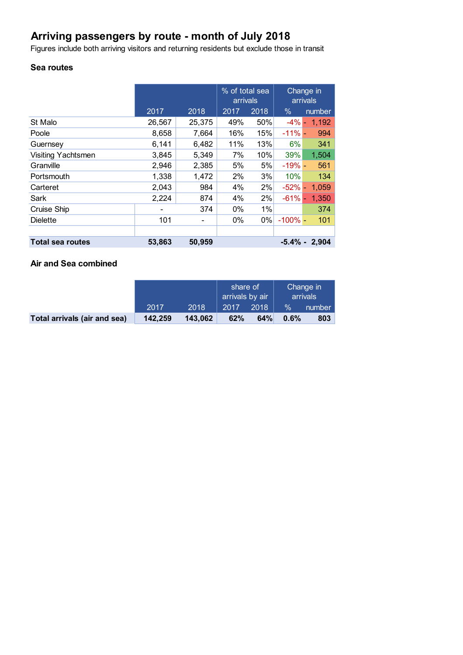# **Arriving passengers by route - month of July 2018**

Figures include both arriving visitors and returning residents but exclude those in transit

## **Sea routes**

|                           |                              |                          | % of total sea<br>arrivals |      | Change in<br>arrivals |                  |
|---------------------------|------------------------------|--------------------------|----------------------------|------|-----------------------|------------------|
|                           | 2017                         | 2018                     | 2017                       | 2018 | $\%$                  | number           |
| St Malo                   | 26,567                       | 25,375                   | 49%                        | 50%  | $-4\%$ -              | 1,192            |
| Poole                     | 8,658                        | 7,664                    | 16%                        | 15%  | $-11%$                | 994              |
| Guernsey                  | 6,141                        | 6,482                    | 11%                        | 13%  | 6%                    | 341              |
| <b>Visiting Yachtsmen</b> | 3,845                        | 5,349                    | 7%                         | 10%  | 39%                   | 1,504            |
| Granville                 | 2,946                        | 2,385                    | 5%                         | 5%   | $-19% -$              | 561              |
| Portsmouth                | 1,338                        | 1,472                    | 2%                         | 3%   | 10%                   | 134              |
| Carteret                  | 2,043                        | 984                      | 4%                         | 2%   | $-52%$ -              | 1,059            |
| Sark                      | 2,224                        | 874                      | 4%                         | 2%   | $-61%$                | 1,350            |
| Cruise Ship               | $\qquad \qquad \blacksquare$ | 374                      | $0\%$                      | 1%   |                       | 374              |
| <b>Dielette</b>           | 101                          | $\overline{\phantom{a}}$ | $0\%$                      | 0%   | $-100\%$ -            | 101              |
|                           |                              |                          |                            |      |                       |                  |
| <b>Total sea routes</b>   | 53,863                       | 50,959                   |                            |      |                       | $-5.4\% - 2.904$ |

# **Air and Sea combined**

|                              |         |         | share of<br>arrivals by air |      | Change in<br>arrivals |        |
|------------------------------|---------|---------|-----------------------------|------|-----------------------|--------|
|                              | 2017    | 2018    | 2017                        | 2018 | $\frac{9}{6}$         | number |
| Total arrivals (air and sea) | 142.259 | 143,062 | 62%                         | 64%  | 0.6%                  | 803    |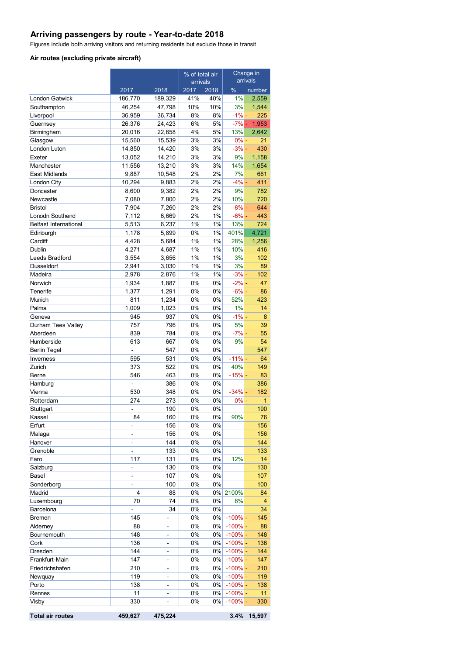# **Arriving passengers by route - Year-to-date 2018**

Figures include both arriving visitors and returning residents but exclude those in transit

#### **Air routes (excluding private aircraft)**

|                              |                |                          | % of total air |          | Change in     |                |
|------------------------------|----------------|--------------------------|----------------|----------|---------------|----------------|
|                              |                |                          | arrivals       |          |               | arrivals       |
|                              | 2017           | 2018                     | 2017           | 2018     | $\%$          | number         |
| London Gatwick               | 186,770        | 189,329                  | 41%            | 40%      | 1%            | 2,559          |
| Southampton                  | 46,254         | 47,798                   | 10%            | 10%      | 3%            | 1,544          |
| Liverpool                    | 36,959         | 36,734                   | 8%             | 8%       | $-1\%$ –      | 225            |
| Guernsey                     | 26,376         | 24,423                   | $6\%$          | 5%       | $-7%$ -       | 1,953          |
| Birmingham                   | 20,016         | 22,658                   | 4%             | 5%       | 13%           | 2,642          |
| Glasgow                      | 15,560         | 15,539                   | 3%             | 3%       | $0% -$        | 21             |
| London Luton                 | 14,850         | 14,420                   | 3%             | 3%       | $-3%$ -       | 430            |
| Exeter                       | 13,052         | 14,210                   | 3%             | 3%       | 9%            | 1,158          |
| Manchester                   | 11,556         | 13,210                   | 3%             | 3%       | 14%           | 1,654          |
| <b>East Midlands</b>         | 9,887          | 10,548                   | 2%             | 2%       | 7%            | 661            |
| London City                  | 10,294         | 9,883                    | 2%<br>2%       | 2%<br>2% | $-4% -$<br>9% | 411<br>782     |
| Doncaster<br>Newcastle       | 8,600<br>7,080 | 9,382<br>7,800           | 2%             | 2%       | 10%           | 720            |
| <b>Bristol</b>               | 7,904          | 7,260                    | 2%             | 2%       | $-8% -$       | 644            |
| Lonodn Southend              | 7,112          | 6,669                    | 2%             | 1%       | $-6% -$       | 443            |
| <b>Belfast International</b> | 5,513          | 6,237                    | 1%             | 1%       | 13%           | 724            |
| Edinburgh                    | 1,178          | 5,899                    | 0%             | 1%       | 401%          | 4,721          |
| Cardiff                      | 4,428          | 5,684                    | 1%             | 1%       | 28%           | 1,256          |
| Dublin                       | 4,271          | 4,687                    | 1%             | 1%       | 10%           | 416            |
| Leeds Bradford               | 3,554          | 3,656                    | 1%             | 1%       | 3%            | 102            |
| Dusseldorf                   | 2,941          | 3,030                    | 1%             | $1\%$    | 3%            | 89             |
| Madeira                      | 2,978          | 2,876                    | 1%             | 1%       | $-3%$ -       | 102            |
| Norwich                      | 1,934          | 1,887                    | 0%             | 0%       | $-2\%$ -      | 47             |
| Tenerife                     | 1,377          | 1,291                    | 0%             | 0%       | $-6%$ -       | 86             |
| Munich                       | 811            | 1,234                    | 0%             | 0%       | 52%           | 423            |
| Palma                        | 1,009          | 1,023                    | 0%             | 0%       | 1%            | 14             |
| Geneva                       | 945            | 937                      | 0%             | 0%       | $-1\%$ -      | 8              |
| Durham Tees Valley           | 757            | 796                      | 0%             | 0%       | 5%            | 39             |
| Aberdeen                     | 839            | 784                      | 0%             | 0%       | $-7%$ -       | 55             |
| Humberside                   | 613            | 667                      | 0%             | 0%       | 9%            | 54             |
| <b>Berlin Tegel</b>          |                | 547                      | 0%             | 0%       |               | 547            |
| Inverness                    | 595            | 531                      | 0%             | 0%       | $-11% -$      | 64             |
| Zurich                       | 373            | 522                      | 0%             | 0%       | 40%           | 149            |
| Berne                        | 546            | 463                      | 0%             | 0%       | $-15%$ -      | 83             |
| Hamburg                      | $\overline{a}$ | 386                      | 0%             | 0%       |               | 386            |
| Vienna                       | 530            | 348                      | 0%             | 0%       | $-34% -$      | 182            |
| Rotterdam                    | 274            | 273                      | 0%             | 0%       | $0\%$ -       | 1              |
| Stuttgart                    |                | 190                      | 0%             | 0%       |               | 190            |
| Kassel                       | 84             | 160                      | 0%             | $0\%$    | 90%           | 76             |
| Erfurt                       | -              | 156                      | 0%             | 0%       |               | 156            |
| Malaga                       | -              | 156                      | 0%             | 0%       |               | 156            |
| Hanover                      | -              | 144                      | 0%             | 0%       |               | 144            |
| Grenoble                     |                | 133                      | 0%             | 0%       |               | 133            |
| Faro                         | 117            | 131                      | 0%             | 0%       | 12%           | 14             |
| Salzburg                     | -              | 130                      | 0%             | 0%       |               | 130            |
| Basel                        | -              | 107                      | 0%             | 0%       |               | 107            |
| Sonderborg                   | -              | 100                      | 0%             | 0%       |               | 100            |
| Madrid                       | 4              | 88                       | 0%             | 0%       | 2100%         | 84             |
| Luxembourg                   | 70             | 74                       | 0%             | 0%       | 6%            | $\overline{4}$ |
| Barcelona                    |                | 34                       | 0%             | 0%       |               | 34             |
| <b>Bremen</b>                | 145            | -                        | 0%             | 0%       | $-100\%$ -    | 145            |
| Alderney                     | 88             | $\overline{\phantom{0}}$ | 0%             | 0%       | $-100\%$ -    | 88             |
| Bournemouth                  | 148            | -                        | 0%             | 0%       | $-100\%$ -    | 148            |
| Cork                         | 136            | $\overline{\phantom{0}}$ | 0%             | 0%       | $-100\%$ -    | 136            |
| Dresden                      | 144            | $\overline{\phantom{0}}$ | 0%             | 0%       | $-100\%$ -    | 144            |
| Frankfurt-Main               | 147            | $\overline{\phantom{0}}$ | 0%             | 0%       | $-100\%$ -    | 147            |
| Friedrichshafen              | 210            | $\overline{\phantom{0}}$ | 0%             | 0%       | $-100\%$ -    | 210            |
| Newquay                      | 119            |                          | 0%             | 0%       | $-100%$ -     | 119            |
| Porto                        | 138            | -                        | 0%             | 0%       | $-100\%$ -    | 138            |
| Rennes                       | 11             | $\overline{\phantom{0}}$ | 0%             | 0%       | $-100\%$ -    | 11             |
| Visby                        | 330            | $\overline{\phantom{0}}$ | 0%             | 0%       | $-100\%$ -    | 330            |
| <b>Total air routes</b>      | 459,627        | 475,224                  |                |          | 3.4%          | 15,597         |